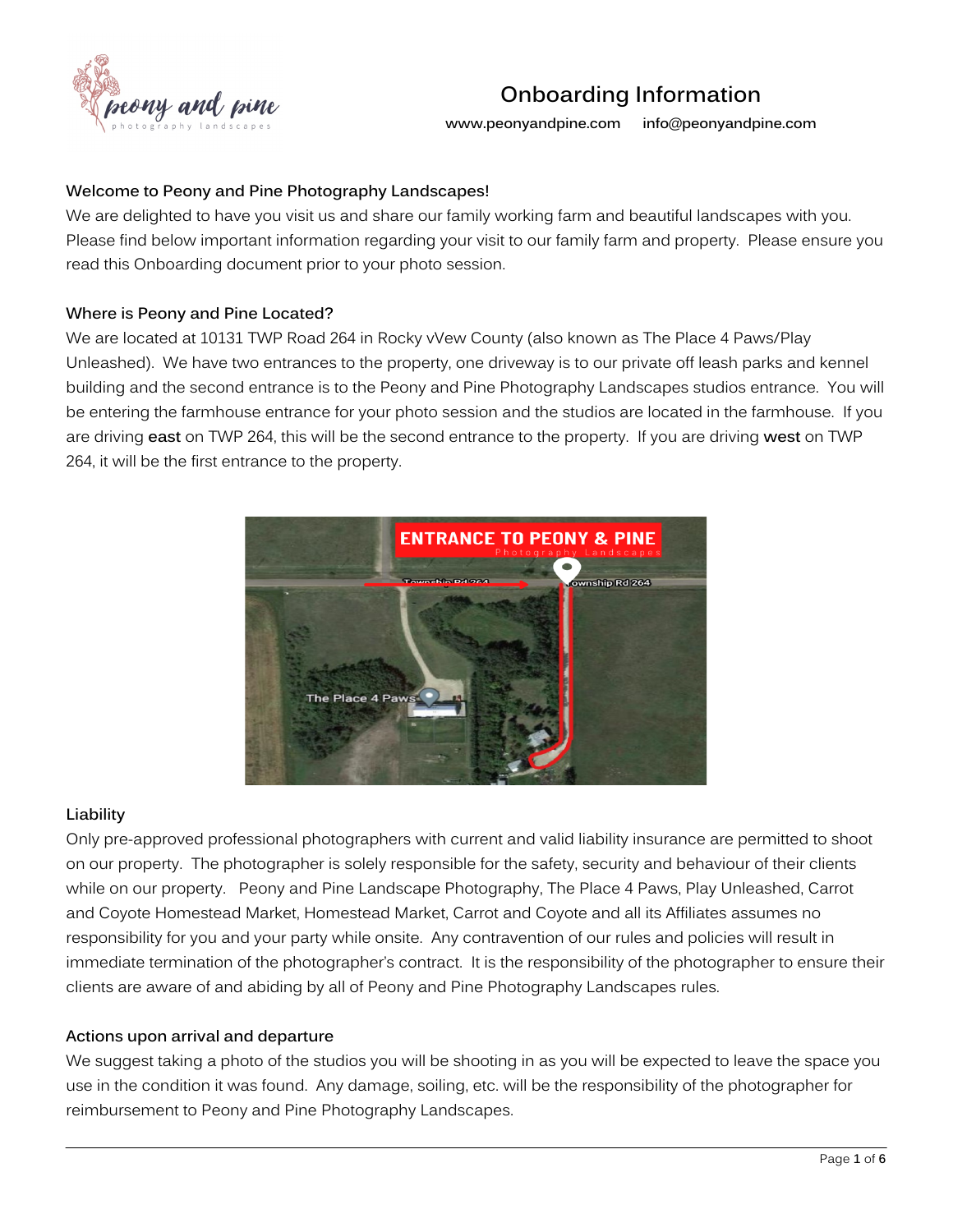

**www.peonyandpine.com info@peonyandpine.com**

### **Welcome to Peony and Pine Photography Landscapes!**

We are delighted to have you visit us and share our family working farm and beautiful landscapes with you. Please find below important information regarding your visit to our family farm and property. Please ensure you read this Onboarding document prior to your photo session.

### **Where is Peony and Pine Located?**

We are located at 10131 TWP Road 264 in Rocky vVew County (also known as The Place 4 Paws/Play Unleashed). We have two entrances to the property, one driveway is to our private off leash parks and kennel building and the second entrance is to the Peony and Pine Photography Landscapes studios entrance. You will be entering the farmhouse entrance for your photo session and the studios are located in the farmhouse. If you are driving **east** on TWP 264, this will be the second entrance to the property. If you are driving **west** on TWP 264, it will be the first entrance to the property.



#### **Liability**

Only pre-approved professional photographers with current and valid liability insurance are permitted to shoot on our property. The photographer is solely responsible for the safety, security and behaviour of their clients while on our property. Peony and Pine Landscape Photography, The Place 4 Paws, Play Unleashed, Carrot and Coyote Homestead Market, Homestead Market, Carrot and Coyote and all its Affiliates assumes no responsibility for you and your party while onsite. Any contravention of our rules and policies will result in immediate termination of the photographer's contract. It is the responsibility of the photographer to ensure their clients are aware of and abiding by all of Peony and Pine Photography Landscapes rules.

#### **Actions upon arrival and departure**

We suggest taking a photo of the studios you will be shooting in as you will be expected to leave the space you use in the condition it was found. Any damage, soiling, etc. will be the responsibility of the photographer for reimbursement to Peony and Pine Photography Landscapes.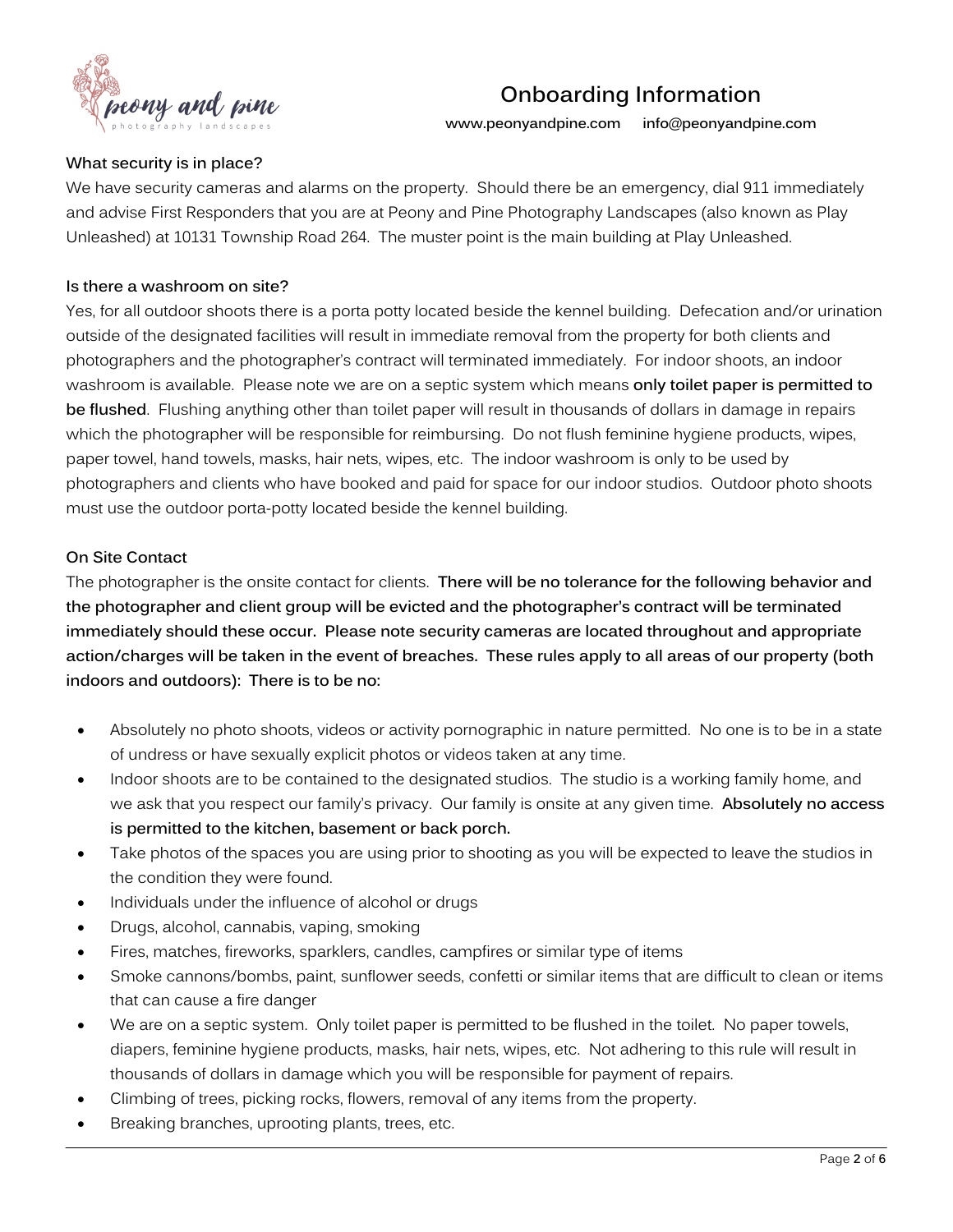

**www.peonyandpine.com info@peonyandpine.com**

# **What security is in place?**

We have security cameras and alarms on the property. Should there be an emergency, dial 911 immediately and advise First Responders that you are at Peony and Pine Photography Landscapes (also known as Play Unleashed) at 10131 Township Road 264. The muster point is the main building at Play Unleashed.

## **Is there a washroom on site?**

Yes, for all outdoor shoots there is a porta potty located beside the kennel building. Defecation and/or urination outside of the designated facilities will result in immediate removal from the property for both clients and photographers and the photographer's contract will terminated immediately. For indoor shoots, an indoor washroom is available. Please note we are on a septic system which means **only toilet paper is permitted to be flushed**. Flushing anything other than toilet paper will result in thousands of dollars in damage in repairs which the photographer will be responsible for reimbursing. Do not flush feminine hygiene products, wipes, paper towel, hand towels, masks, hair nets, wipes, etc. The indoor washroom is only to be used by photographers and clients who have booked and paid for space for our indoor studios. Outdoor photo shoots must use the outdoor porta-potty located beside the kennel building.

### **On Site Contact**

The photographer is the onsite contact for clients. **There will be no tolerance for the following behavior and the photographer and client group will be evicted and the photographer's contract will be terminated immediately should these occur. Please note security cameras are located throughout and appropriate action/charges will be taken in the event of breaches. These rules apply to all areas of our property (both indoors and outdoors): There is to be no:**

- Absolutely no photo shoots, videos or activity pornographic in nature permitted. No one is to be in a state of undress or have sexually explicit photos or videos taken at any time.
- Indoor shoots are to be contained to the designated studios. The studio is a working family home, and we ask that you respect our family's privacy. Our family is onsite at any given time. **Absolutely no access is permitted to the kitchen, basement or back porch.**
- Take photos of the spaces you are using prior to shooting as you will be expected to leave the studios in the condition they were found.
- Individuals under the influence of alcohol or drugs
- Drugs, alcohol, cannabis, vaping, smoking
- Fires, matches, fireworks, sparklers, candles, campfires or similar type of items
- Smoke cannons/bombs, paint, sunflower seeds, confetti or similar items that are difficult to clean or items that can cause a fire danger
- We are on a septic system. Only toilet paper is permitted to be flushed in the toilet. No paper towels, diapers, feminine hygiene products, masks, hair nets, wipes, etc. Not adhering to this rule will result in thousands of dollars in damage which you will be responsible for payment of repairs.
- Climbing of trees, picking rocks, flowers, removal of any items from the property.
- Breaking branches, uprooting plants, trees, etc.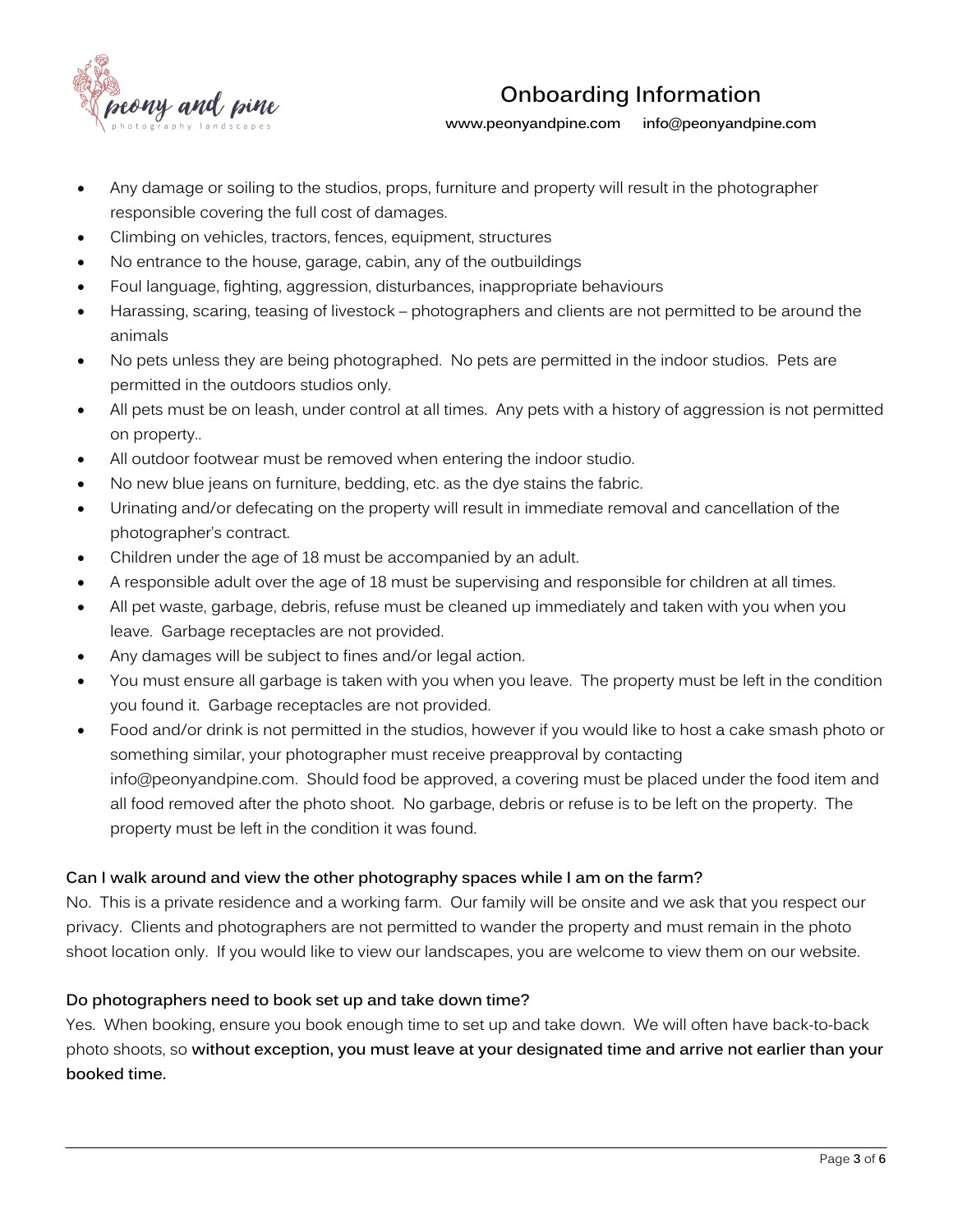

**www.peonyandpine.com info@peonyandpine.com**

- Any damage or soiling to the studios, props, furniture and property will result in the photographer responsible covering the full cost of damages.
- Climbing on vehicles, tractors, fences, equipment, structures
- No entrance to the house, garage, cabin, any of the outbuildings
- Foul language, fighting, aggression, disturbances, inappropriate behaviours
- Harassing, scaring, teasing of livestock photographers and clients are not permitted to be around the animals
- No pets unless they are being photographed. No pets are permitted in the indoor studios. Pets are permitted in the outdoors studios only.
- All pets must be on leash, under control at all times. Any pets with a history of aggression is not permitted on property..
- All outdoor footwear must be removed when entering the indoor studio.
- No new blue jeans on furniture, bedding, etc. as the dye stains the fabric.
- Urinating and/or defecating on the property will result in immediate removal and cancellation of the photographer's contract.
- Children under the age of 18 must be accompanied by an adult.
- A responsible adult over the age of 18 must be supervising and responsible for children at all times.
- All pet waste, garbage, debris, refuse must be cleaned up immediately and taken with you when you leave. Garbage receptacles are not provided.
- Any damages will be subject to fines and/or legal action.
- You must ensure all garbage is taken with you when you leave. The property must be left in the condition you found it. Garbage receptacles are not provided.
- Food and/or drink is not permitted in the studios, however if you would like to host a cake smash photo or something similar, your photographer must receive preapproval by contacting info@peonyandpine.com. Should food be approved, a covering must be placed under the food item and all food removed after the photo shoot. No garbage, debris or refuse is to be left on the property. The property must be left in the condition it was found.

# **Can I walk around and view the other photography spaces while I am on the farm?**

No. This is a private residence and a working farm. Our family will be onsite and we ask that you respect our privacy. Clients and photographers are not permitted to wander the property and must remain in the photo shoot location only. If you would like to view our landscapes, you are welcome to view them on our website.

# **Do photographers need to book set up and take down time?**

Yes. When booking, ensure you book enough time to set up and take down. We will often have back-to-back photo shoots, so **without exception, you must leave at your designated time and arrive not earlier than your booked time.**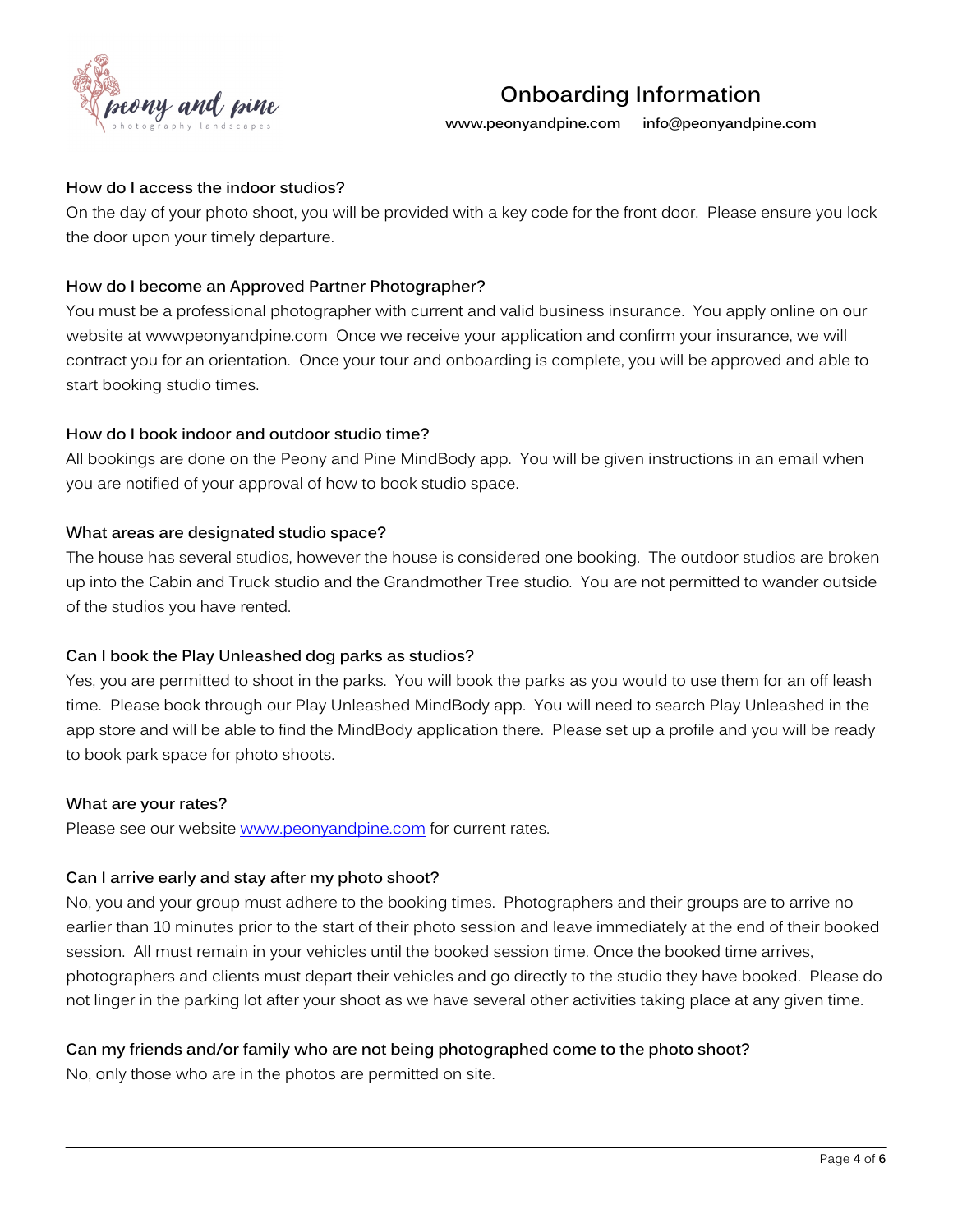

**www.peonyandpine.com info@peonyandpine.com**

### **How do I access the indoor studios?**

On the day of your photo shoot, you will be provided with a key code for the front door. Please ensure you lock the door upon your timely departure.

## **How do I become an Approved Partner Photographer?**

You must be a professional photographer with current and valid business insurance. You apply online on our website at wwwpeonyandpine.com Once we receive your application and confirm your insurance, we will contract you for an orientation. Once your tour and onboarding is complete, you will be approved and able to start booking studio times.

### **How do I book indoor and outdoor studio time?**

All bookings are done on the Peony and Pine MindBody app. You will be given instructions in an email when you are notified of your approval of how to book studio space.

### **What areas are designated studio space?**

The house has several studios, however the house is considered one booking. The outdoor studios are broken up into the Cabin and Truck studio and the Grandmother Tree studio. You are not permitted to wander outside of the studios you have rented.

#### **Can I book the Play Unleashed dog parks as studios?**

Yes, you are permitted to shoot in the parks. You will book the parks as you would to use them for an off leash time. Please book through our Play Unleashed MindBody app. You will need to search Play Unleashed in the app store and will be able to find the MindBody application there. Please set up a profile and you will be ready to book park space for photo shoots.

#### **What are your rates?**

Please see our website www.peonyandpine.com for current rates.

# **Can I arrive early and stay after my photo shoot?**

No, you and your group must adhere to the booking times. Photographers and their groups are to arrive no earlier than 10 minutes prior to the start of their photo session and leave immediately at the end of their booked session. All must remain in your vehicles until the booked session time. Once the booked time arrives, photographers and clients must depart their vehicles and go directly to the studio they have booked. Please do not linger in the parking lot after your shoot as we have several other activities taking place at any given time.

# **Can my friends and/or family who are not being photographed come to the photo shoot?**

No, only those who are in the photos are permitted on site.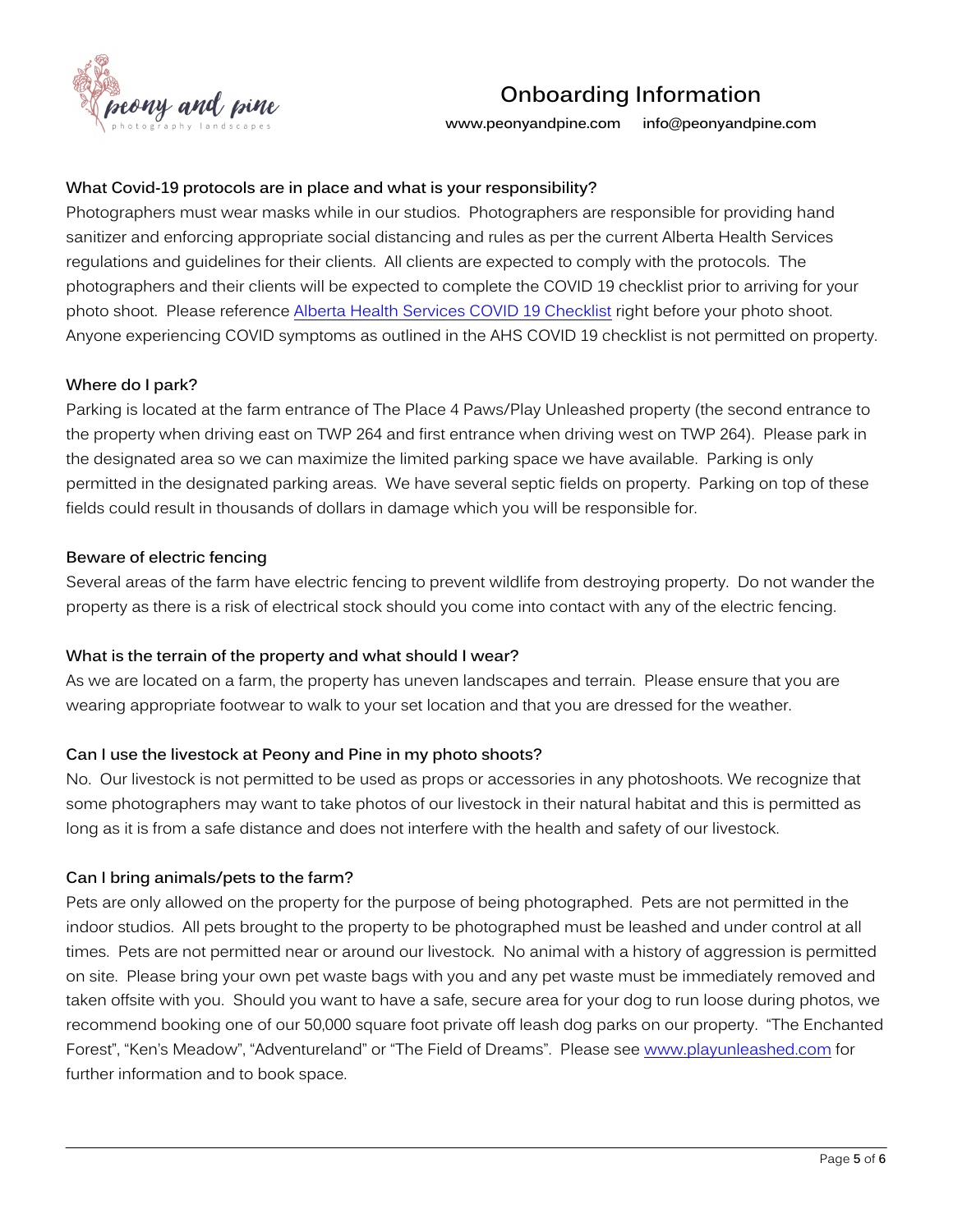

**www.peonyandpine.com info@peonyandpine.com**

## **What Covid-19 protocols are in place and what is your responsibility?**

Photographers must wear masks while in our studios. Photographers are responsible for providing hand sanitizer and enforcing appropriate social distancing and rules as per the current Alberta Health Services regulations and guidelines for their clients. All clients are expected to comply with the protocols. The photographers and their clients will be expected to complete the COVID 19 checklist prior to arriving for your photo shoot. Please reference Alberta Health Services COVID 19 Checklist right before your photo shoot. Anyone experiencing COVID symptoms as outlined in the AHS COVID 19 checklist is not permitted on property.

### **Where do I park?**

Parking is located at the farm entrance of The Place 4 Paws/Play Unleashed property (the second entrance to the property when driving east on TWP 264 and first entrance when driving west on TWP 264). Please park in the designated area so we can maximize the limited parking space we have available. Parking is only permitted in the designated parking areas. We have several septic fields on property. Parking on top of these fields could result in thousands of dollars in damage which you will be responsible for.

### **Beware of electric fencing**

Several areas of the farm have electric fencing to prevent wildlife from destroying property. Do not wander the property as there is a risk of electrical stock should you come into contact with any of the electric fencing.

# **What is the terrain of the property and what should I wear?**

As we are located on a farm, the property has uneven landscapes and terrain. Please ensure that you are wearing appropriate footwear to walk to your set location and that you are dressed for the weather.

# **Can I use the livestock at Peony and Pine in my photo shoots?**

No. Our livestock is not permitted to be used as props or accessories in any photoshoots. We recognize that some photographers may want to take photos of our livestock in their natural habitat and this is permitted as long as it is from a safe distance and does not interfere with the health and safety of our livestock.

# **Can I bring animals/pets to the farm?**

Pets are only allowed on the property for the purpose of being photographed. Pets are not permitted in the indoor studios. All pets brought to the property to be photographed must be leashed and under control at all times. Pets are not permitted near or around our livestock. No animal with a history of aggression is permitted on site. Please bring your own pet waste bags with you and any pet waste must be immediately removed and taken offsite with you. Should you want to have a safe, secure area for your dog to run loose during photos, we recommend booking one of our 50,000 square foot private off leash dog parks on our property. "The Enchanted Forest", "Ken's Meadow", "Adventureland" or "The Field of Dreams". Please see www.playunleashed.com for further information and to book space.